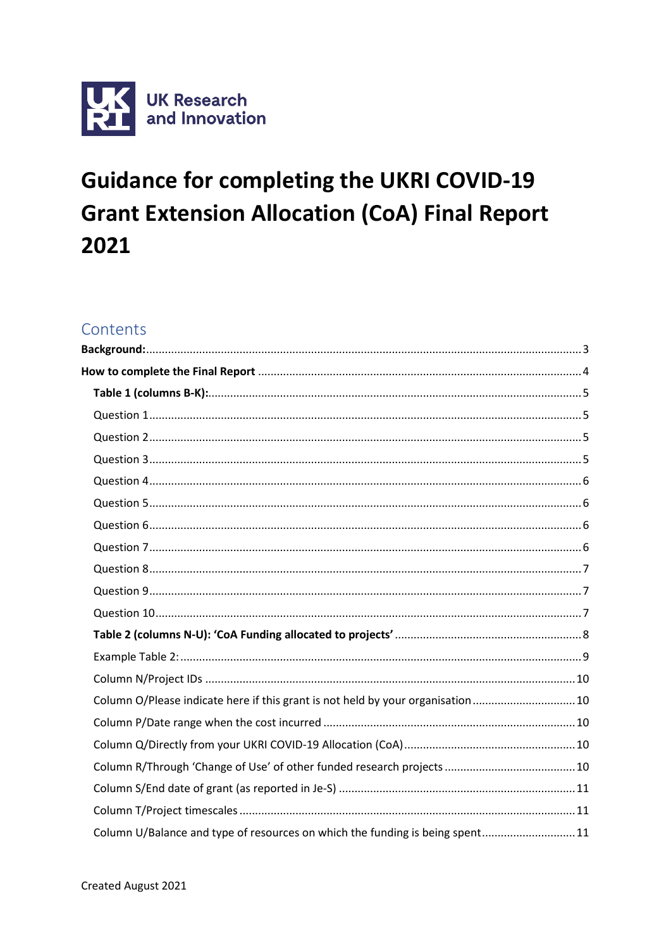

# **Guidance for completing the UKRI COVID-19 Grant Extension Allocation (CoA) Final Report** 2021

# Contents

| Column O/Please indicate here if this grant is not held by your organisation 10 |  |
|---------------------------------------------------------------------------------|--|
|                                                                                 |  |
|                                                                                 |  |
|                                                                                 |  |
|                                                                                 |  |
|                                                                                 |  |
| Column U/Balance and type of resources on which the funding is being spent11    |  |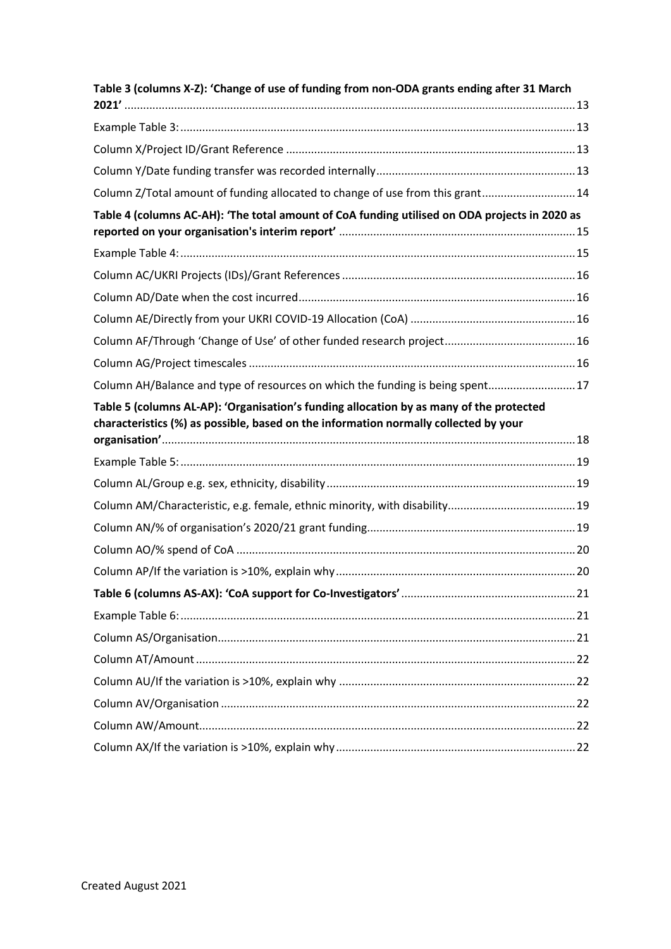| Table 3 (columns X-Z): 'Change of use of funding from non-ODA grants ending after 31 March    |  |
|-----------------------------------------------------------------------------------------------|--|
|                                                                                               |  |
|                                                                                               |  |
|                                                                                               |  |
|                                                                                               |  |
| Column Z/Total amount of funding allocated to change of use from this grant 14                |  |
| Table 4 (columns AC-AH): 'The total amount of CoA funding utilised on ODA projects in 2020 as |  |
|                                                                                               |  |
|                                                                                               |  |
|                                                                                               |  |
|                                                                                               |  |
|                                                                                               |  |
|                                                                                               |  |
| Column AH/Balance and type of resources on which the funding is being spent 17                |  |
| Table 5 (columns AL-AP): 'Organisation's funding allocation by as many of the protected       |  |
| characteristics (%) as possible, based on the information normally collected by your          |  |
|                                                                                               |  |
|                                                                                               |  |
|                                                                                               |  |
|                                                                                               |  |
|                                                                                               |  |
|                                                                                               |  |
|                                                                                               |  |
|                                                                                               |  |
|                                                                                               |  |
|                                                                                               |  |
|                                                                                               |  |
|                                                                                               |  |
|                                                                                               |  |
|                                                                                               |  |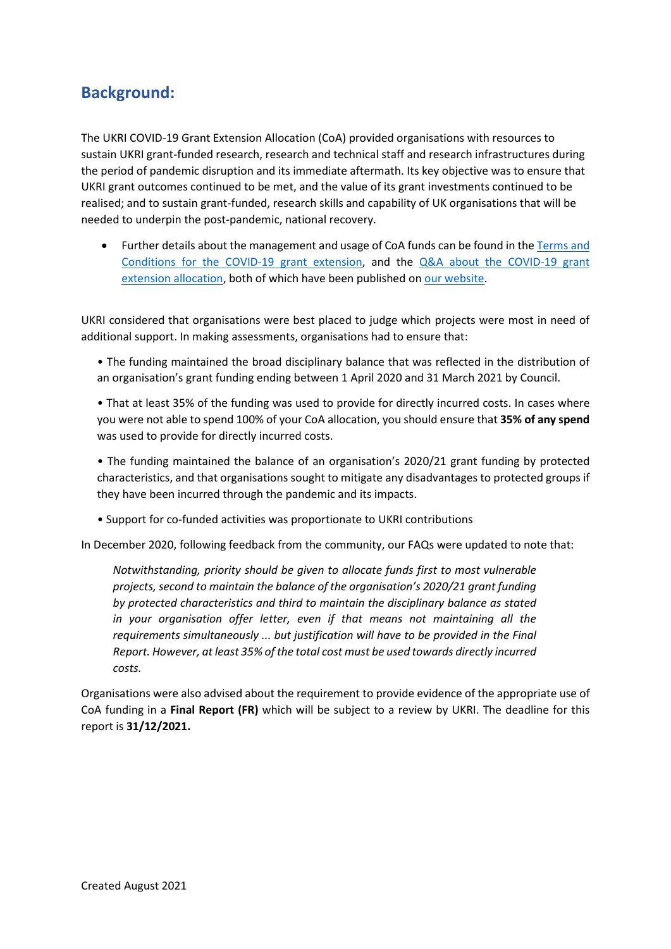# <span id="page-2-0"></span>**Background:**

The UKRI COVID-19 Grant Extension Allocation (CoA) provided organisations with resources to sustain UKRI grant-funded research, research and technical staff and research infrastructures during the period of pandemic disruption and its immediate aftermath. Its key objective was to ensure that UKRI grant outcomes continued to be met, and the value of its grant investments continued to be realised; and to sustain grant-funded, research skills and capability of UK organisations that will be needed to underpin the post-pandemic, national recovery.

• Further details about the management and usage of CoA funds can be found in th[e Terms and](https://www.ukri.org/wp-content/uploads/2021/03/UKRI-190321-COVID19GrantExtensionAllocation-TermsConditions.pdf)  [Conditions for the COVID-19 grant extension,](https://www.ukri.org/wp-content/uploads/2021/03/UKRI-190321-COVID19GrantExtensionAllocation-TermsConditions.pdf) and the Q&A [about the COVID-19 grant](https://www.ukri.org/wp-content/uploads/2021/04/UKRI-150421-COVID19GrantExtensionAllocation-QA.pdf)  [extension allocation,](https://www.ukri.org/wp-content/uploads/2021/04/UKRI-150421-COVID19GrantExtensionAllocation-QA.pdf) both of which have been published o[n our website.](https://www.ukri.org/our-work/tackling-the-impact-of-covid-19/guidance-for-applicants-and-awardholders-impacted-by-the-pandemic/)

UKRI considered that organisations were best placed to judge which projects were most in need of additional support. In making assessments, organisations had to ensure that:

• The funding maintained the broad disciplinary balance that was reflected in the distribution of an organisation's grant funding ending between 1 April 2020 and 31 March 2021 by Council.

• That at least 35% of the funding was used to provide for directly incurred costs. In cases where you were not able to spend 100% of your CoA allocation, you should ensure that **35% of any spend** was used to provide for directly incurred costs.

• The funding maintained the balance of an organisation's 2020/21 grant funding by protected characteristics, and that organisations sought to mitigate any disadvantages to protected groups if they have been incurred through the pandemic and its impacts.

• Support for co-funded activities was proportionate to UKRI contributions

In December 2020, following feedback from the community, our FAQs were updated to note that:

*Notwithstanding, priority should be given to allocate funds first to most vulnerable projects, second to maintain the balance of the organisation's 2020/21 grant funding by protected characteristics and third to maintain the disciplinary balance as stated in your organisation offer letter, even if that means not maintaining all the requirements simultaneously ... but justification will have to be provided in the Final Report. However, at least 35% of the total cost must be used towards directly incurred costs.*

Organisations were also advised about the requirement to provide evidence of the appropriate use of CoA funding in a **Final Report (FR)** which will be subject to a review by UKRI. The deadline for this report is **31/12/2021.**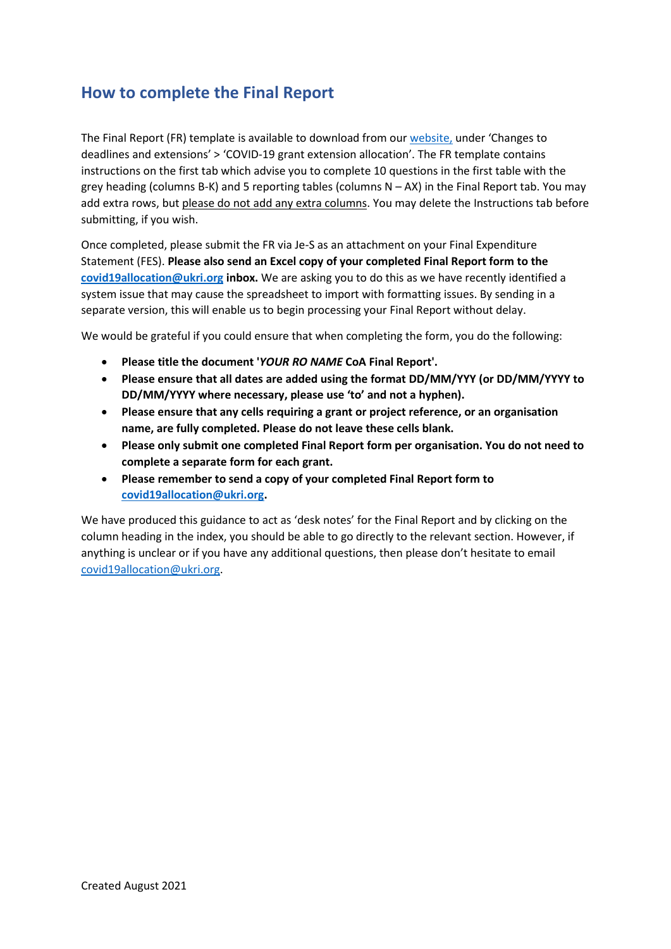# <span id="page-3-0"></span>**How to complete the Final Report**

The Final Report (FR) template is available to download from our [website,](https://www.ukri.org/our-work/tackling-the-impact-of-covid-19/guidance-for-applicants-and-awardholders-impacted-by-the-pandemic/) under 'Changes to deadlines and extensions' > 'COVID-19 grant extension allocation'. The FR template contains instructions on the first tab which advise you to complete 10 questions in the first table with the grey heading (columns B-K) and 5 reporting tables (columns  $N - AX$ ) in the Final Report tab. You may add extra rows, but please do not add any extra columns. You may delete the Instructions tab before submitting, if you wish.

Once completed, please submit the FR via Je-S as an attachment on your Final Expenditure Statement (FES). **Please also send an Excel copy of your completed Final Report form to the [covid19allocation@ukri.org](mailto:covid19allocation@ukri.org) inbox.** We are asking you to do this as we have recently identified a system issue that may cause the spreadsheet to import with formatting issues. By sending in a separate version, this will enable us to begin processing your Final Report without delay.

We would be grateful if you could ensure that when completing the form, you do the following:

- **Please title the document '***YOUR RO NAME* **CoA Final Report'.**
- **Please ensure that all dates are added using the format DD/MM/YYY (or DD/MM/YYYY to DD/MM/YYYY where necessary, please use 'to' and not a hyphen).**
- **Please ensure that any cells requiring a grant or project reference, or an organisation name, are fully completed. Please do not leave these cells blank.**
- **Please only submit one completed Final Report form per organisation. You do not need to complete a separate form for each grant.**
- **Please remember to send a copy of your completed Final Report form to [covid19allocation@ukri.org.](mailto:covid19allocation@ukri.org)**

We have produced this guidance to act as 'desk notes' for the Final Report and by clicking on the column heading in the index, you should be able to go directly to the relevant section. However, if anything is unclear or if you have any additional questions, then please don't hesitate to email [covid19allocation@ukri.org.](mailto:covid19allocation@ukri.org)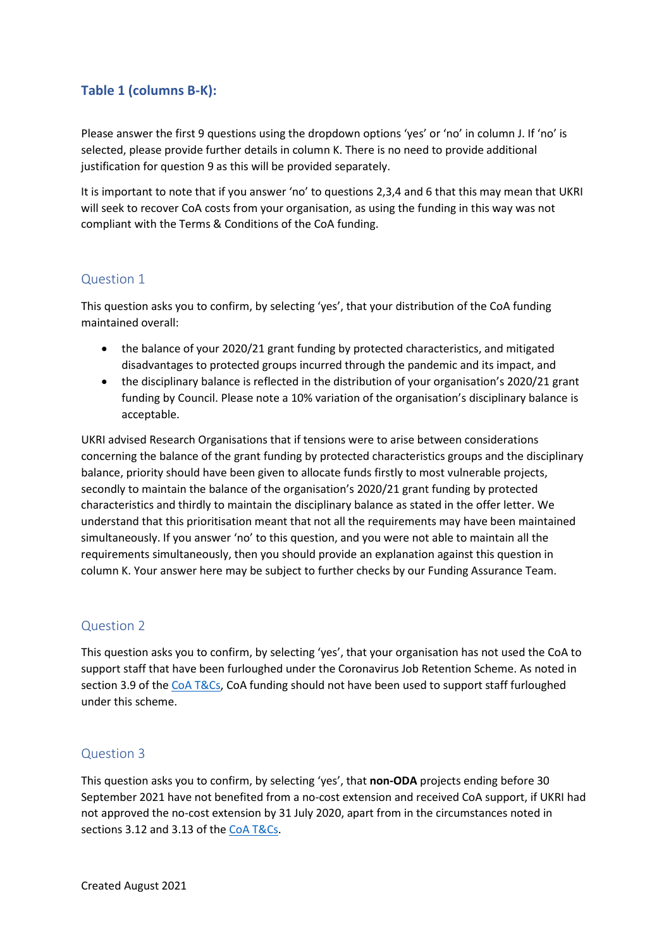### <span id="page-4-0"></span>**Table 1 (columns B-K):**

Please answer the first 9 questions using the dropdown options 'yes' or 'no' in column J. If 'no' is selected, please provide further details in column K. There is no need to provide additional justification for question 9 as this will be provided separately.

It is important to note that if you answer 'no' to questions 2,3,4 and 6 that this may mean that UKRI will seek to recover CoA costs from your organisation, as using the funding in this way was not compliant with the Terms & Conditions of the CoA funding.

### <span id="page-4-1"></span>Question 1

This question asks you to confirm, by selecting 'yes', that your distribution of the CoA funding maintained overall:

- the balance of your 2020/21 grant funding by protected characteristics, and mitigated disadvantages to protected groups incurred through the pandemic and its impact, and
- the disciplinary balance is reflected in the distribution of your organisation's 2020/21 grant funding by Council. Please note a 10% variation of the organisation's disciplinary balance is acceptable.

UKRI advised Research Organisations that if tensions were to arise between considerations concerning the balance of the grant funding by protected characteristics groups and the disciplinary balance, priority should have been given to allocate funds firstly to most vulnerable projects, secondly to maintain the balance of the organisation's 2020/21 grant funding by protected characteristics and thirdly to maintain the disciplinary balance as stated in the offer letter. We understand that this prioritisation meant that not all the requirements may have been maintained simultaneously. If you answer 'no' to this question, and you were not able to maintain all the requirements simultaneously, then you should provide an explanation against this question in column K. Your answer here may be subject to further checks by our Funding Assurance Team.

#### <span id="page-4-2"></span>Question 2

This question asks you to confirm, by selecting 'yes', that your organisation has not used the CoA to support staff that have been furloughed under the Coronavirus Job Retention Scheme. As noted in section 3.9 of the [CoA T&Cs,](https://www.ukri.org/wp-content/uploads/2021/03/UKRI-190321-COVID19GrantExtensionAllocation-TermsConditions.pdf) CoA funding should not have been used to support staff furloughed under this scheme.

### <span id="page-4-3"></span>Question 3

This question asks you to confirm, by selecting 'yes', that **non-ODA** projects ending before 30 September 2021 have not benefited from a no-cost extension and received CoA support, if UKRI had not approved the no-cost extension by 31 July 2020, apart from in the circumstances noted in sections 3.12 and 3.13 of the [CoA T&Cs.](https://www.ukri.org/wp-content/uploads/2021/03/UKRI-190321-COVID19GrantExtensionAllocation-TermsConditions.pdf)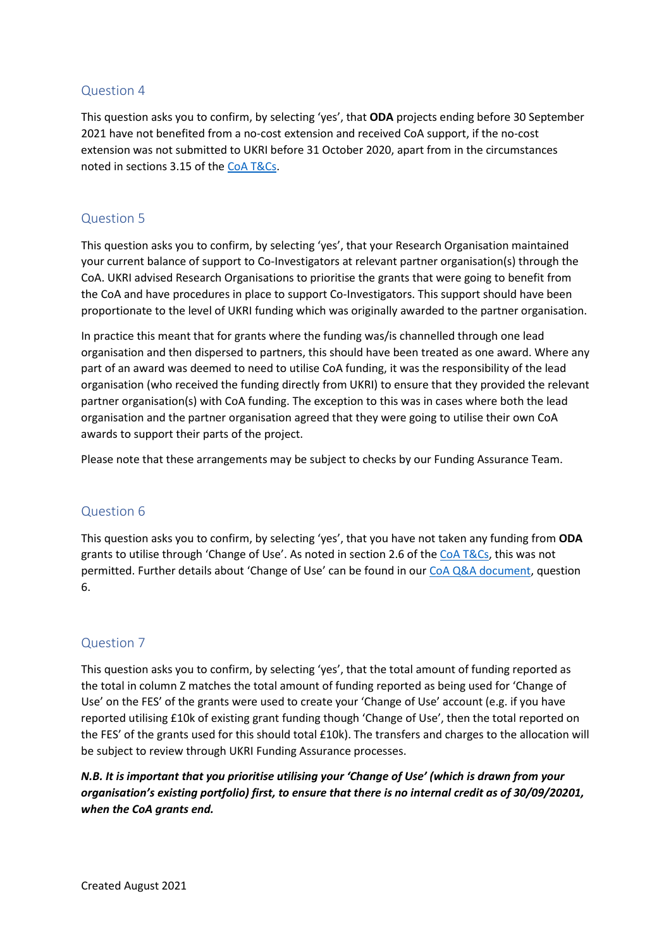### <span id="page-5-0"></span>Question 4

This question asks you to confirm, by selecting 'yes', that **ODA** projects ending before 30 September 2021 have not benefited from a no-cost extension and received CoA support, if the no-cost extension was not submitted to UKRI before 31 October 2020, apart from in the circumstances noted in sections 3.15 of the [CoA T&Cs.](https://www.ukri.org/wp-content/uploads/2021/03/UKRI-190321-COVID19GrantExtensionAllocation-TermsConditions.pdf)

### <span id="page-5-1"></span>Question 5

This question asks you to confirm, by selecting 'yes', that your Research Organisation maintained your current balance of support to Co-Investigators at relevant partner organisation(s) through the CoA. UKRI advised Research Organisations to prioritise the grants that were going to benefit from the CoA and have procedures in place to support Co-Investigators. This support should have been proportionate to the level of UKRI funding which was originally awarded to the partner organisation.

In practice this meant that for grants where the funding was/is channelled through one lead organisation and then dispersed to partners, this should have been treated as one award. Where any part of an award was deemed to need to utilise CoA funding, it was the responsibility of the lead organisation (who received the funding directly from UKRI) to ensure that they provided the relevant partner organisation(s) with CoA funding. The exception to this was in cases where both the lead organisation and the partner organisation agreed that they were going to utilise their own CoA awards to support their parts of the project.

Please note that these arrangements may be subject to checks by our Funding Assurance Team.

### <span id="page-5-2"></span>Question 6

This question asks you to confirm, by selecting 'yes', that you have not taken any funding from **ODA** grants to utilise through 'Change of Use'. As noted in section 2.6 of the CoA [T&Cs,](https://www.ukri.org/wp-content/uploads/2021/03/UKRI-190321-COVID19GrantExtensionAllocation-TermsConditions.pdf) this was not permitted. Further details about 'Change of Use' can be found in our [CoA Q&A](https://www.ukri.org/wp-content/uploads/2021/04/UKRI-150421-COVID19GrantExtensionAllocation-QA.pdf) document, question 6.

### <span id="page-5-3"></span>Question 7

This question asks you to confirm, by selecting 'yes', that the total amount of funding reported as the total in column Z matches the total amount of funding reported as being used for 'Change of Use' on the FES' of the grants were used to create your 'Change of Use' account (e.g. if you have reported utilising £10k of existing grant funding though 'Change of Use', then the total reported on the FES' of the grants used for this should total £10k). The transfers and charges to the allocation will be subject to review through UKRI Funding Assurance processes.

*N.B. It is important that you prioritise utilising your 'Change of Use' (which is drawn from your organisation's existing portfolio) first, to ensure that there is no internal credit as of 30/09/20201, when the CoA grants end.*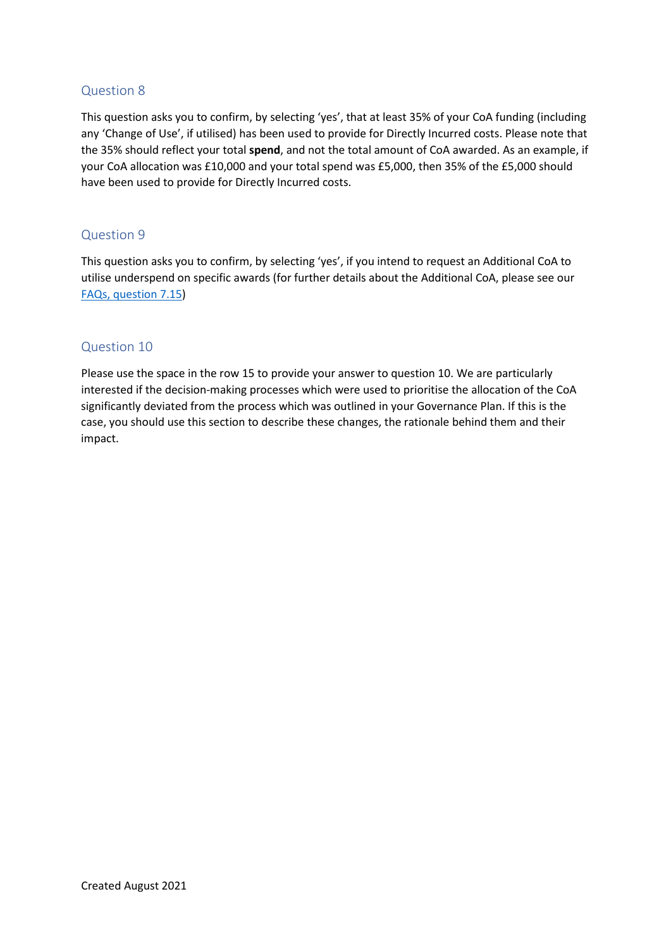### <span id="page-6-0"></span>Question 8

This question asks you to confirm, by selecting 'yes', that at least 35% of your CoA funding (including any 'Change of Use', if utilised) has been used to provide for Directly Incurred costs. Please note that the 35% should reflect your total **spend**, and not the total amount of CoA awarded. As an example, if your CoA allocation was £10,000 and your total spend was £5,000, then 35% of the £5,000 should have been used to provide for Directly Incurred costs.

#### <span id="page-6-1"></span>Question 9

This question asks you to confirm, by selecting 'yes', if you intend to request an Additional CoA to utilise underspend on specific awards (for further details about the Additional CoA, please see our [FAQs, question 7.15\)](https://www.ukri.org/wp-content/uploads/2021/04/UKRI-150421-COVID19GrantExtensionAllocation-QA.pdf)

### <span id="page-6-2"></span>Question 10

Please use the space in the row 15 to provide your answer to question 10. We are particularly interested if the decision-making processes which were used to prioritise the allocation of the CoA significantly deviated from the process which was outlined in your Governance Plan. If this is the case, you should use this section to describe these changes, the rationale behind them and their impact.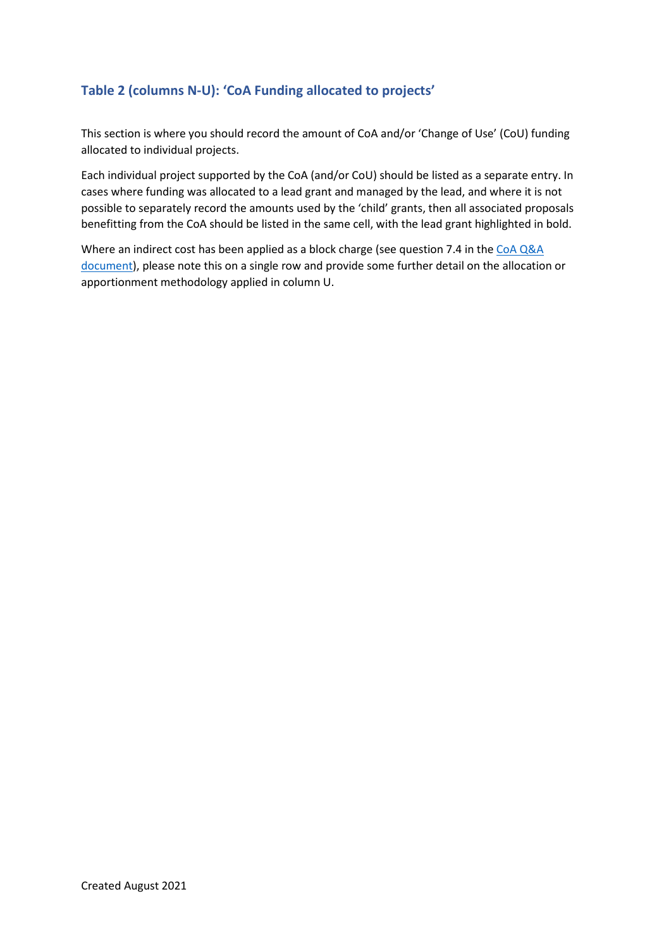### <span id="page-7-0"></span>**Table 2 (columns N-U): 'CoA Funding allocated to projects'**

This section is where you should record the amount of CoA and/or 'Change of Use' (CoU) funding allocated to individual projects.

Each individual project supported by the CoA (and/or CoU) should be listed as a separate entry. In cases where funding was allocated to a lead grant and managed by the lead, and where it is not possible to separately record the amounts used by the 'child' grants, then all associated proposals benefitting from the CoA should be listed in the same cell, with the lead grant highlighted in bold.

Where an indirect cost has been applied as a block charge (see question 7.4 in th[e CoA](https://www.ukri.org/wp-content/uploads/2021/04/UKRI-150421-COVID19GrantExtensionAllocation-QA.pdf) Q&A document), please note this on a single row and provide some further detail on the allocation or apportionment methodology applied in column U.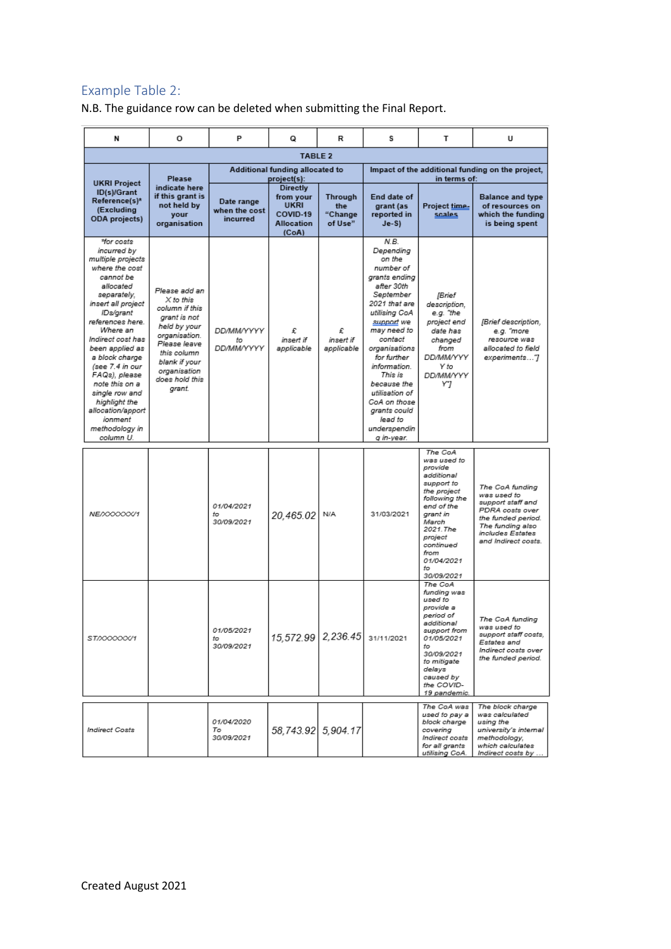### <span id="page-8-0"></span>Example Table 2:

N.B. The guidance row can be deleted when submitting the Final Report.

| N                                                                                                                                                                                                                                                                                                                                                                                              | o                                                                                                                                                                                         | P                                            | o                                                                                     | R                                                                | s                                                                                                                                                                                                                                                                                                                                   | т                                                                                                                                                                                                               | U                                                                                                                                                           |
|------------------------------------------------------------------------------------------------------------------------------------------------------------------------------------------------------------------------------------------------------------------------------------------------------------------------------------------------------------------------------------------------|-------------------------------------------------------------------------------------------------------------------------------------------------------------------------------------------|----------------------------------------------|---------------------------------------------------------------------------------------|------------------------------------------------------------------|-------------------------------------------------------------------------------------------------------------------------------------------------------------------------------------------------------------------------------------------------------------------------------------------------------------------------------------|-----------------------------------------------------------------------------------------------------------------------------------------------------------------------------------------------------------------|-------------------------------------------------------------------------------------------------------------------------------------------------------------|
|                                                                                                                                                                                                                                                                                                                                                                                                |                                                                                                                                                                                           |                                              | <b>TABLE 2</b>                                                                        |                                                                  |                                                                                                                                                                                                                                                                                                                                     |                                                                                                                                                                                                                 |                                                                                                                                                             |
|                                                                                                                                                                                                                                                                                                                                                                                                | Additional funding allocated to<br>Please<br>project(s):                                                                                                                                  |                                              |                                                                                       | Impact of the additional funding on the project,<br>in terms of: |                                                                                                                                                                                                                                                                                                                                     |                                                                                                                                                                                                                 |                                                                                                                                                             |
| <b>UKRI Project</b><br>ID(s)/Grant<br>Reference(s)*<br>(Excluding<br><b>ODA</b> projects)                                                                                                                                                                                                                                                                                                      | indicate here<br>if this grant is<br>not held by<br>your<br>organisation                                                                                                                  | Date range<br>when the cost<br>incurred      | <b>Directly</b><br>from your<br><b>UKRI</b><br>COVID-19<br><b>Allocation</b><br>(CoA) | Through<br>the<br>"Change<br>of Use"                             | End date of<br>grant (as<br>reported in<br>$Je-S$                                                                                                                                                                                                                                                                                   | Project time-<br>scales                                                                                                                                                                                         | <b>Balance and type</b><br>of resources on<br>which the funding<br>is being spent                                                                           |
| *for costs<br>incurred by<br>multiple projects<br>where the cost<br>cannot be<br>allocated<br>separately.<br>insert all project<br>IDs/grant<br>references here.<br>Where an<br>Indirect cost has<br>been applied as<br>a block charge<br>(see 7.4 in our<br>FAQs), please<br>note this on a<br>single row and<br>highlight the<br>allocation/apport<br>ionment<br>methodology in<br>column U. | Please add an<br>X to this<br>column if this<br>grant is not<br>held by your<br>organisation.<br>Please leave<br>this column<br>blank if your<br>organisation<br>does hold this<br>grant. | <b>DD/MM/YYYY</b><br>to<br><b>DD/MM/YYYY</b> | £<br>insert if<br>applicable                                                          | £<br>insert if<br>applicable                                     | N.B.<br>Depending<br>on the<br>number of<br>grants ending<br>after 30th<br>September<br>2021 that are<br>utilising CoA<br>support we<br>may need to<br>contact<br>organisations<br>for further<br>information.<br>This is<br>because the<br>utilisation of<br>CoA on those<br>grants could<br>lead to<br>underspendin<br>q in-year. | <b>IBrief</b><br>description,<br>e.g. "the<br>project end<br>date has<br>changed<br>from<br><b>DD/MM/YYY</b><br>Y to<br>DD/MM/YYY<br>Y"J                                                                        | [Brief description,<br>e.g. "more<br>resource was<br>allocated to field<br>experiments"]                                                                    |
| NE/XXXXXX/1                                                                                                                                                                                                                                                                                                                                                                                    |                                                                                                                                                                                           | 01/04/2021<br>fo<br>30/09/2021               | 20.465.02                                                                             | N/A                                                              | 31/03/2021                                                                                                                                                                                                                                                                                                                          | The CoA<br>was used to<br>provide<br>additional<br>support to<br>the project<br>following the<br>end of the<br>grant in<br>March<br>2021. The<br>project<br>continued<br>from<br>01/04/2021<br>to<br>30/09/2021 | The CoA funding<br>was used to<br>support staff and<br>PDRA costs over<br>the funded period.<br>The funding also<br>includes Estates<br>and Indirect costs. |
| ST/XXXXXX/1                                                                                                                                                                                                                                                                                                                                                                                    |                                                                                                                                                                                           | 01/05/2021<br>to<br>30/09/2021               | 15,572.99 2,236.45 31/11/2021                                                         |                                                                  |                                                                                                                                                                                                                                                                                                                                     | The CoA<br>funding was<br>used to<br>provide a<br>period of<br>additional<br>support from<br>01/05/2021<br>to<br>30/09/2021<br>to mitigate<br>delays<br>caused by<br>the COVID-<br>19 pandemic.                 | The CoA fundina<br>was used to<br>support staff costs,<br>Estates and<br>Indirect costs over<br>the funded period.                                          |
| <b>Indirect Costs</b>                                                                                                                                                                                                                                                                                                                                                                          |                                                                                                                                                                                           | 01/04/2020<br>То<br>30/09/2021               | 58,743.92 5,904.17                                                                    |                                                                  |                                                                                                                                                                                                                                                                                                                                     | The CoA was<br>used to pay a<br>block charge<br>covering<br>Indirect costs<br>for all grants<br>utilising CoA.                                                                                                  | The block charge<br>was calculated<br>using the<br>university's internal<br>methodology,<br>which calculates<br>Indirect costs by                           |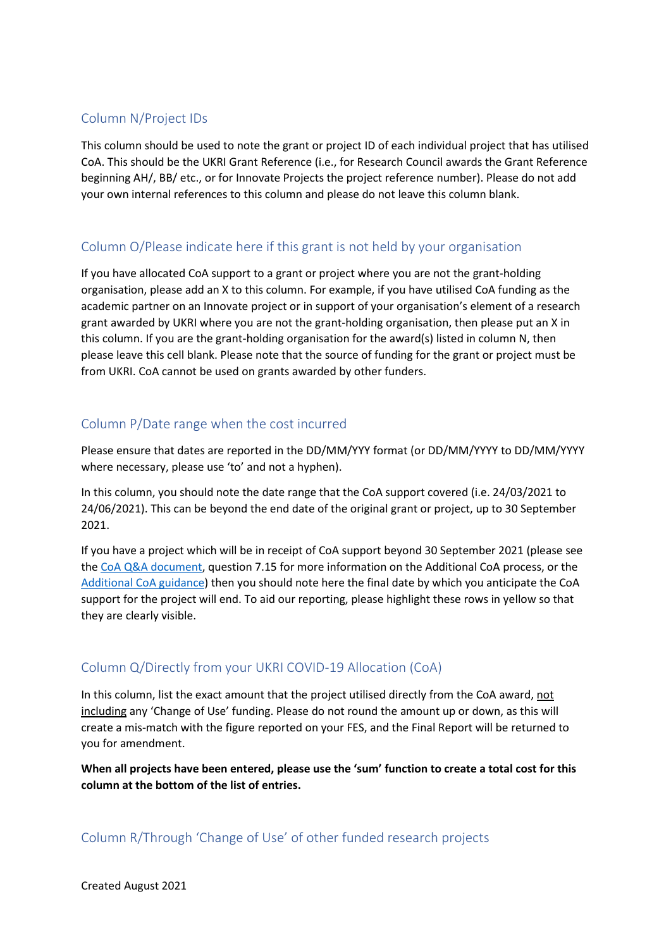### <span id="page-9-0"></span>Column N/Project IDs

This column should be used to note the grant or project ID of each individual project that has utilised CoA. This should be the UKRI Grant Reference (i.e., for Research Council awards the Grant Reference beginning AH/, BB/ etc., or for Innovate Projects the project reference number). Please do not add your own internal references to this column and please do not leave this column blank.

### <span id="page-9-1"></span>Column O/Please indicate here if this grant is not held by your organisation

If you have allocated CoA support to a grant or project where you are not the grant-holding organisation, please add an X to this column. For example, if you have utilised CoA funding as the academic partner on an Innovate project or in support of your organisation's element of a research grant awarded by UKRI where you are not the grant-holding organisation, then please put an X in this column. If you are the grant-holding organisation for the award(s) listed in column N, then please leave this cell blank. Please note that the source of funding for the grant or project must be from UKRI. CoA cannot be used on grants awarded by other funders.

### <span id="page-9-2"></span>Column P/Date range when the cost incurred

Please ensure that dates are reported in the DD/MM/YYY format (or DD/MM/YYYY to DD/MM/YYYY where necessary, please use 'to' and not a hyphen).

In this column, you should note the date range that the CoA support covered (i.e. 24/03/2021 to 24/06/2021). This can be beyond the end date of the original grant or project, up to 30 September 2021.

If you have a project which will be in receipt of CoA support beyond 30 September 2021 (please see the [CoA](https://www.ukri.org/wp-content/uploads/2021/04/UKRI-150421-COVID19GrantExtensionAllocation-QA.pdf) Q&A document, question 7.15 for more information on the Additional CoA process, or the [Additional CoA guidance\)](https://www.ukri.org/publications/additional-covid-19-extension-allocation-guidance/) then you should note here the final date by which you anticipate the CoA support for the project will end. To aid our reporting, please highlight these rows in yellow so that they are clearly visible.

### <span id="page-9-3"></span>Column Q/Directly from your UKRI COVID-19 Allocation (CoA)

In this column, list the exact amount that the project utilised directly from the CoA award, not including any 'Change of Use' funding. Please do not round the amount up or down, as this will create a mis-match with the figure reported on your FES, and the Final Report will be returned to you for amendment.

**When all projects have been entered, please use the 'sum' function to create a total cost for this column at the bottom of the list of entries.** 

<span id="page-9-4"></span>Column R/Through 'Change of Use' of other funded research projects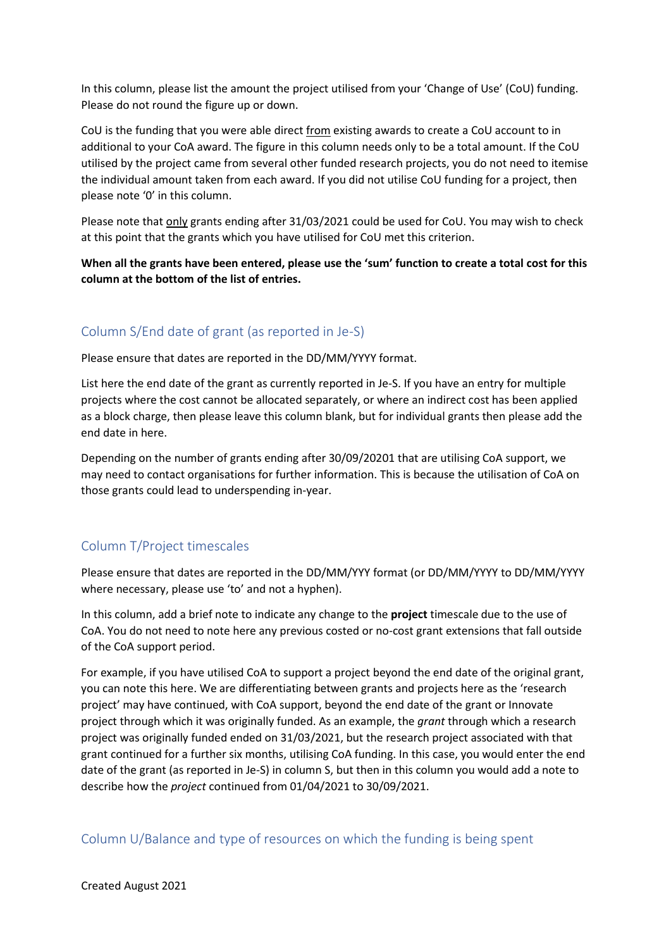In this column, please list the amount the project utilised from your 'Change of Use' (CoU) funding. Please do not round the figure up or down.

CoU is the funding that you were able direct from existing awards to create a CoU account to in additional to your CoA award. The figure in this column needs only to be a total amount. If the CoU utilised by the project came from several other funded research projects, you do not need to itemise the individual amount taken from each award. If you did not utilise CoU funding for a project, then please note '0' in this column.

Please note that only grants ending after 31/03/2021 could be used for CoU. You may wish to check at this point that the grants which you have utilised for CoU met this criterion.

**When all the grants have been entered, please use the 'sum' function to create a total cost for this column at the bottom of the list of entries.**

### <span id="page-10-0"></span>Column S/End date of grant (as reported in Je-S)

Please ensure that dates are reported in the DD/MM/YYYY format.

List here the end date of the grant as currently reported in Je-S. If you have an entry for multiple projects where the cost cannot be allocated separately, or where an indirect cost has been applied as a block charge, then please leave this column blank, but for individual grants then please add the end date in here.

Depending on the number of grants ending after 30/09/20201 that are utilising CoA support, we may need to contact organisations for further information. This is because the utilisation of CoA on those grants could lead to underspending in-year.

#### <span id="page-10-1"></span>Column T/Project timescales

Please ensure that dates are reported in the DD/MM/YYY format (or DD/MM/YYYY to DD/MM/YYYY where necessary, please use 'to' and not a hyphen).

In this column, add a brief note to indicate any change to the **project** timescale due to the use of CoA. You do not need to note here any previous costed or no-cost grant extensions that fall outside of the CoA support period.

For example, if you have utilised CoA to support a project beyond the end date of the original grant, you can note this here. We are differentiating between grants and projects here as the 'research project' may have continued, with CoA support, beyond the end date of the grant or Innovate project through which it was originally funded. As an example, the *grant* through which a research project was originally funded ended on 31/03/2021, but the research project associated with that grant continued for a further six months, utilising CoA funding. In this case, you would enter the end date of the grant (as reported in Je-S) in column S, but then in this column you would add a note to describe how the *project* continued from 01/04/2021 to 30/09/2021.

<span id="page-10-2"></span>Column U/Balance and type of resources on which the funding is being spent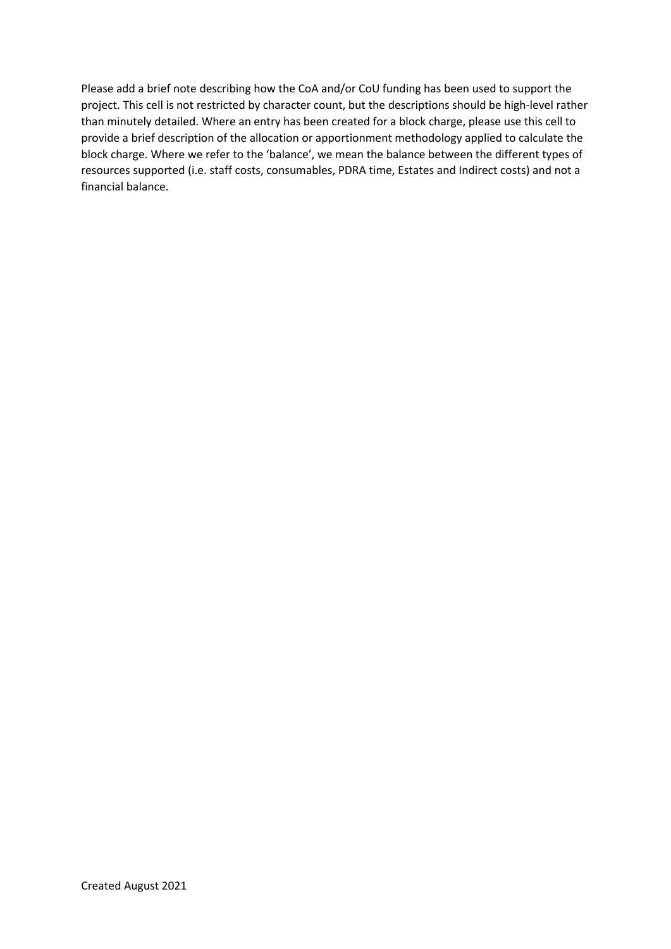Please add a brief note describing how the CoA and/or CoU funding has been used to support the project. This cell is not restricted by character count, but the descriptions should be high-level rather than minutely detailed. Where an entry has been created for a block charge, please use this cell to provide a brief description of the allocation or apportionment methodology applied to calculate the block charge. Where we refer to the 'balance', we mean the balance between the different types of resources supported (i.e. staff costs, consumables, PDRA time, Estates and Indirect costs) and not a financial balance.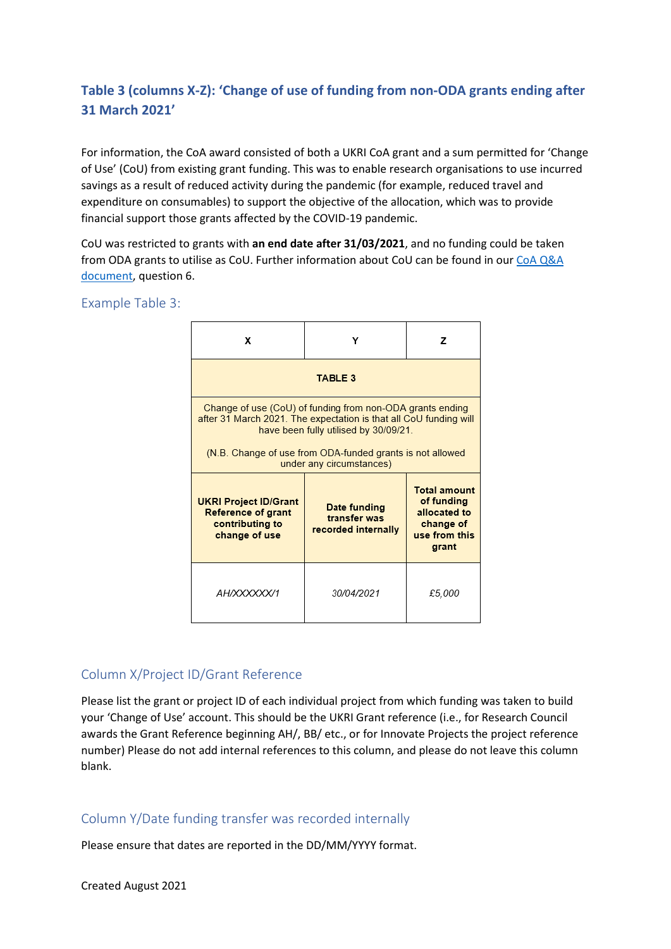### <span id="page-12-0"></span>**Table 3 (columns X-Z): 'Change of use of funding from non-ODA grants ending after 31 March 2021'**

For information, the CoA award consisted of both a UKRI CoA grant and a sum permitted for 'Change of Use' (CoU) from existing grant funding. This was to enable research organisations to use incurred savings as a result of reduced activity during the pandemic (for example, reduced travel and expenditure on consumables) to support the objective of the allocation, which was to provide financial support those grants affected by the COVID-19 pandemic.

CoU was restricted to grants with **an end date after 31/03/2021**, and no funding could be taken from ODA grants to utilise as CoU. Further information about CoU can be found in our [CoA Q&A](https://www.ukri.org/wp-content/uploads/2021/04/UKRI-150421-COVID19GrantExtensionAllocation-QA.pdf)  [document,](https://www.ukri.org/wp-content/uploads/2021/04/UKRI-150421-COVID19GrantExtensionAllocation-QA.pdf) question 6.

#### <span id="page-12-1"></span>Example Table 3:



### <span id="page-12-2"></span>Column X/Project ID/Grant Reference

Please list the grant or project ID of each individual project from which funding was taken to build your 'Change of Use' account. This should be the UKRI Grant reference (i.e., for Research Council awards the Grant Reference beginning AH/, BB/ etc., or for Innovate Projects the project reference number) Please do not add internal references to this column, and please do not leave this column blank.

#### <span id="page-12-3"></span>Column Y/Date funding transfer was recorded internally

Please ensure that dates are reported in the DD/MM/YYYY format.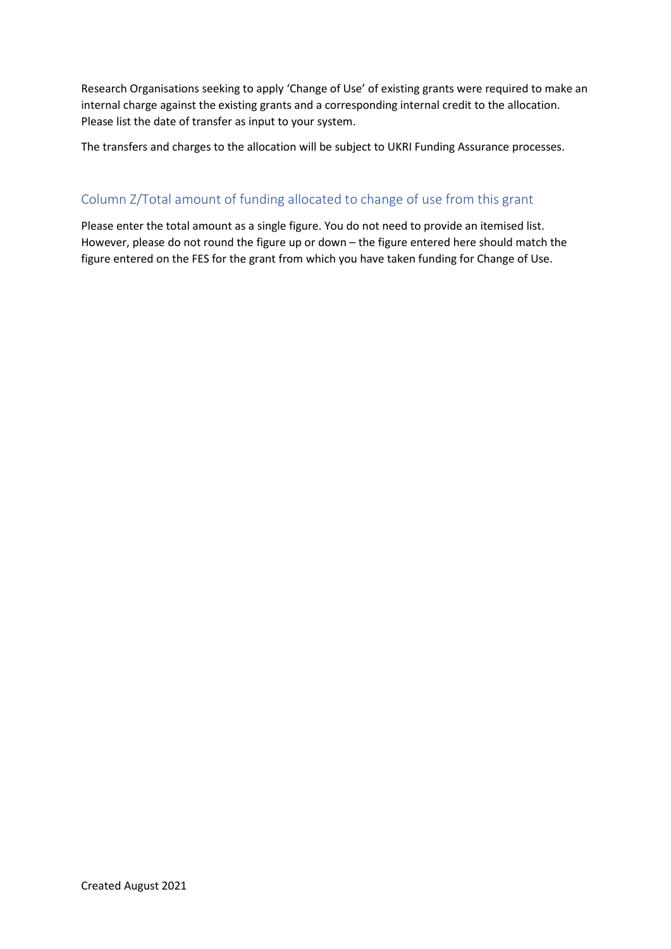Research Organisations seeking to apply 'Change of Use' of existing grants were required to make an internal charge against the existing grants and a corresponding internal credit to the allocation. Please list the date of transfer as input to your system.

The transfers and charges to the allocation will be subject to UKRI Funding Assurance processes.

### <span id="page-13-0"></span>Column Z/Total amount of funding allocated to change of use from this grant

Please enter the total amount as a single figure. You do not need to provide an itemised list. However, please do not round the figure up or down – the figure entered here should match the figure entered on the FES for the grant from which you have taken funding for Change of Use.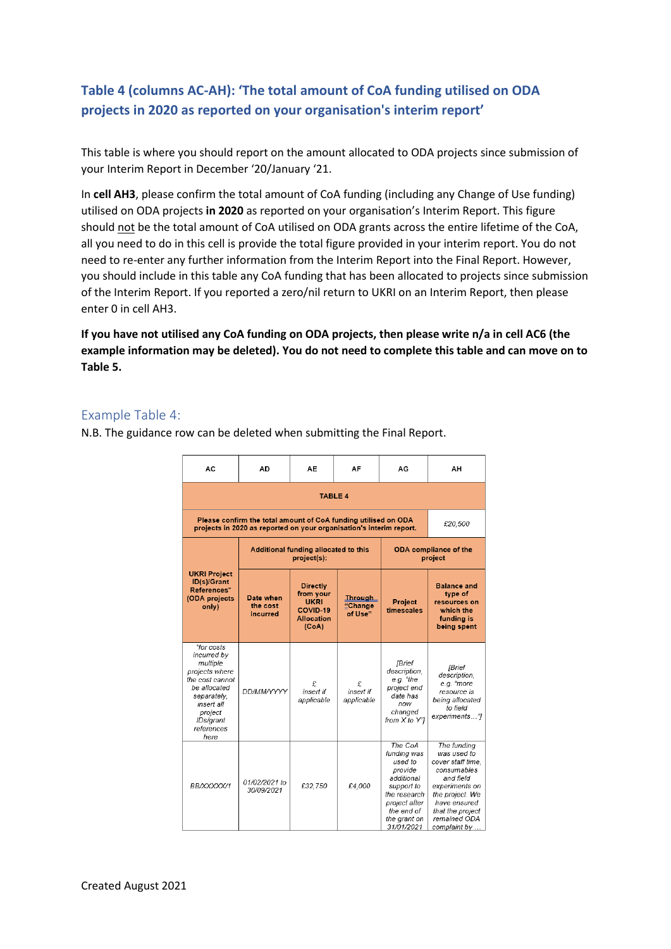### <span id="page-14-0"></span>**Table 4 (columns AC-AH): 'The total amount of CoA funding utilised on ODA projects in 2020 as reported on your organisation's interim report'**

This table is where you should report on the amount allocated to ODA projects since submission of your Interim Report in December '20/January '21.

In **cell AH3**, please confirm the total amount of CoA funding (including any Change of Use funding) utilised on ODA projects **in 2020** as reported on your organisation's Interim Report. This figure should not be the total amount of CoA utilised on ODA grants across the entire lifetime of the CoA, all you need to do in this cell is provide the total figure provided in your interim report. You do not need to re-enter any further information from the Interim Report into the Final Report. However, you should include in this table any CoA funding that has been allocated to projects since submission of the Interim Report. If you reported a zero/nil return to UKRI on an Interim Report, then please enter 0 in cell AH3.

**If you have not utilised any CoA funding on ODA projects, then please write n/a in cell AC6 (the example information may be deleted). You do not need to complete this table and can move on to Table 5.** 

#### <span id="page-14-1"></span>Example Table 4:

N.B. The guidance row can be deleted when submitting the Final Report.

| AC                                                                                                                                                                    | AD                                                                                                                                    | AЕ                                                                                    | AF                                      | AG                                                                                                                                                    | ΑН                                                                                                                                                                                    |  |
|-----------------------------------------------------------------------------------------------------------------------------------------------------------------------|---------------------------------------------------------------------------------------------------------------------------------------|---------------------------------------------------------------------------------------|-----------------------------------------|-------------------------------------------------------------------------------------------------------------------------------------------------------|---------------------------------------------------------------------------------------------------------------------------------------------------------------------------------------|--|
|                                                                                                                                                                       |                                                                                                                                       | <b>TABLE 4</b>                                                                        |                                         |                                                                                                                                                       |                                                                                                                                                                                       |  |
|                                                                                                                                                                       | Please confirm the total amount of CoA funding utilised on ODA<br>projects in 2020 as reported on your organisation's interim report. |                                                                                       |                                         |                                                                                                                                                       |                                                                                                                                                                                       |  |
|                                                                                                                                                                       |                                                                                                                                       | Additional funding allocated to this<br>project(s):                                   | <b>ODA</b> compliance of the<br>project |                                                                                                                                                       |                                                                                                                                                                                       |  |
| <b>UKRI Project</b><br>ID(s)/Grant<br>References*<br>(ODA projects<br>only)                                                                                           | Date when<br>the cost<br>incurred                                                                                                     | <b>Directly</b><br>from your<br><b>UKRI</b><br>COVID-19<br><b>Allocation</b><br>(CoA) | <b>Through</b><br>"Change<br>of Use"    | <b>Project</b><br>timescales                                                                                                                          | <b>Balance and</b><br>type of<br>resources on<br>which the<br>funding is<br>being spent                                                                                               |  |
| *for costs<br>incurred by<br>multiple<br>projects where<br>the cost cannot<br>be allocated<br>separately,<br>insert all<br>project<br>IDs/grant<br>references<br>here | <b>DD/MM/YYYY</b>                                                                                                                     | £<br>insert if<br>applicable                                                          | £<br>insert if<br>applicable            | <b>[Brief</b><br>description,<br>e.g. "the<br>project end<br>date has<br>now<br>changed<br>from X to Y"]                                              | <b>IBrief</b><br>description.<br>e.g. "more<br>resource is<br>being allocated<br>to field<br>experiments"]                                                                            |  |
| BB/XXXXX/1                                                                                                                                                            | 01/02/2021 to<br>30/09/2021                                                                                                           | £32,750                                                                               | £4.000                                  | The CoA<br>funding was<br>used to<br>provide<br>additional<br>support to<br>the research<br>project after<br>the end of<br>the grant on<br>31/01/2021 | The funding<br>was used to<br>cover staff time.<br>consumables<br>and field<br>experiments on<br>the project. We<br>have ensured<br>that the project<br>remained ODA<br>complaint by. |  |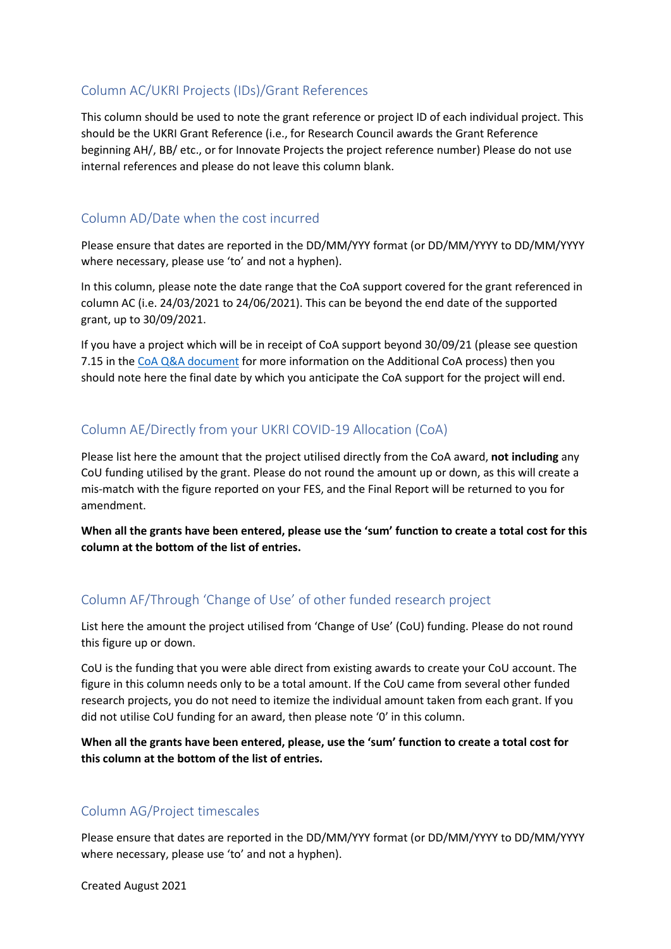### <span id="page-15-0"></span>Column AC/UKRI Projects (IDs)/Grant References

This column should be used to note the grant reference or project ID of each individual project. This should be the UKRI Grant Reference (i.e., for Research Council awards the Grant Reference beginning AH/, BB/ etc., or for Innovate Projects the project reference number) Please do not use internal references and please do not leave this column blank.

### <span id="page-15-1"></span>Column AD/Date when the cost incurred

Please ensure that dates are reported in the DD/MM/YYY format (or DD/MM/YYYY to DD/MM/YYYY where necessary, please use 'to' and not a hyphen).

In this column, please note the date range that the CoA support covered for the grant referenced in column AC (i.e. 24/03/2021 to 24/06/2021). This can be beyond the end date of the supported grant, up to 30/09/2021.

If you have a project which will be in receipt of CoA support beyond 30/09/21 (please see question 7.15 in the [CoA Q&A document](https://www.ukri.org/wp-content/uploads/2021/04/UKRI-150421-COVID19GrantExtensionAllocation-QA.pdf) for more information on the Additional CoA process) then you should note here the final date by which you anticipate the CoA support for the project will end.

### <span id="page-15-2"></span>Column AE/Directly from your UKRI COVID-19 Allocation (CoA)

Please list here the amount that the project utilised directly from the CoA award, **not including** any CoU funding utilised by the grant. Please do not round the amount up or down, as this will create a mis-match with the figure reported on your FES, and the Final Report will be returned to you for amendment.

**When all the grants have been entered, please use the 'sum' function to create a total cost for this column at the bottom of the list of entries.**

### <span id="page-15-3"></span>Column AF/Through 'Change of Use' of other funded research project

List here the amount the project utilised from 'Change of Use' (CoU) funding. Please do not round this figure up or down.

CoU is the funding that you were able direct from existing awards to create your CoU account. The figure in this column needs only to be a total amount. If the CoU came from several other funded research projects, you do not need to itemize the individual amount taken from each grant. If you did not utilise CoU funding for an award, then please note '0' in this column.

**When all the grants have been entered, please, use the 'sum' function to create a total cost for this column at the bottom of the list of entries.** 

### <span id="page-15-4"></span>Column AG/Project timescales

Please ensure that dates are reported in the DD/MM/YYY format (or DD/MM/YYYY to DD/MM/YYYY where necessary, please use 'to' and not a hyphen).

Created August 2021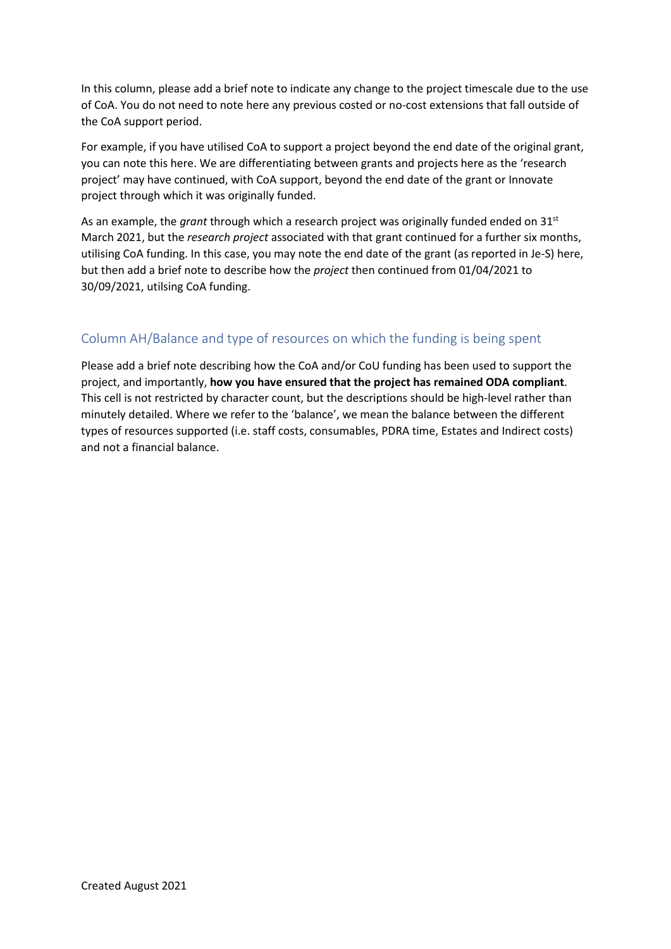In this column, please add a brief note to indicate any change to the project timescale due to the use of CoA. You do not need to note here any previous costed or no-cost extensions that fall outside of the CoA support period.

For example, if you have utilised CoA to support a project beyond the end date of the original grant, you can note this here. We are differentiating between grants and projects here as the 'research project' may have continued, with CoA support, beyond the end date of the grant or Innovate project through which it was originally funded.

As an example, the *grant* through which a research project was originally funded ended on 31st March 2021, but the *research project* associated with that grant continued for a further six months, utilising CoA funding. In this case, you may note the end date of the grant (as reported in Je-S) here, but then add a brief note to describe how the *project* then continued from 01/04/2021 to 30/09/2021, utilsing CoA funding.

### <span id="page-16-0"></span>Column AH/Balance and type of resources on which the funding is being spent

Please add a brief note describing how the CoA and/or CoU funding has been used to support the project, and importantly, **how you have ensured that the project has remained ODA compliant**. This cell is not restricted by character count, but the descriptions should be high-level rather than minutely detailed. Where we refer to the 'balance', we mean the balance between the different types of resources supported (i.e. staff costs, consumables, PDRA time, Estates and Indirect costs) and not a financial balance.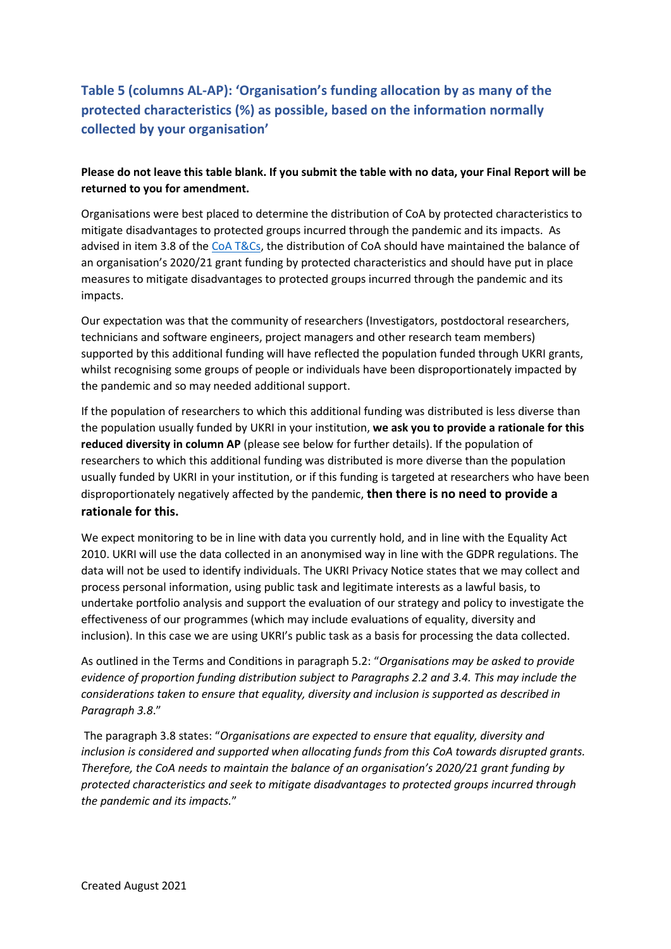### <span id="page-17-0"></span>**Table 5 (columns AL-AP): 'Organisation's funding allocation by as many of the protected characteristics (%) as possible, based on the information normally collected by your organisation'**

#### **Please do not leave this table blank. If you submit the table with no data, your Final Report will be returned to you for amendment.**

Organisations were best placed to determine the distribution of CoA by protected characteristics to mitigate disadvantages to protected groups incurred through the pandemic and its impacts. As advised in item 3.8 of the [CoA T&Cs,](https://www.ukri.org/wp-content/uploads/2021/03/UKRI-190321-COVID19GrantExtensionAllocation-TermsConditions.pdf) the distribution of CoA should have maintained the balance of an organisation's 2020/21 grant funding by protected characteristics and should have put in place measures to mitigate disadvantages to protected groups incurred through the pandemic and its impacts.

Our expectation was that the community of researchers (Investigators, postdoctoral researchers, technicians and software engineers, project managers and other research team members) supported by this additional funding will have reflected the population funded through UKRI grants, whilst recognising some groups of people or individuals have been disproportionately impacted by the pandemic and so may needed additional support.

If the population of researchers to which this additional funding was distributed is less diverse than the population usually funded by UKRI in your institution, **we ask you to provide a rationale for this reduced diversity in column AP** (please see below for further details). If the population of researchers to which this additional funding was distributed is more diverse than the population usually funded by UKRI in your institution, or if this funding is targeted at researchers who have been disproportionately negatively affected by the pandemic, **then there is no need to provide a rationale for this.**

We expect monitoring to be in line with data you currently hold, and in line with the Equality Act 2010. UKRI will use the data collected in an anonymised way in line with the GDPR regulations. The data will not be used to identify individuals. The UKRI Privacy Notice states that we may collect and process personal information, using public task and legitimate interests as a lawful basis, to undertake portfolio analysis and support the evaluation of our strategy and policy to investigate the effectiveness of our programmes (which may include evaluations of equality, diversity and inclusion). In this case we are using UKRI's public task as a basis for processing the data collected.

As outlined in the Terms and Conditions in paragraph 5.2: "*Organisations may be asked to provide evidence of proportion funding distribution subject to Paragraphs 2.2 and 3.4. This may include the considerations taken to ensure that equality, diversity and inclusion is supported as described in Paragraph 3.8*."

The paragraph 3.8 states: "*Organisations are expected to ensure that equality, diversity and inclusion is considered and supported when allocating funds from this CoA towards disrupted grants. Therefore, the CoA needs to maintain the balance of an organisation's 2020/21 grant funding by protected characteristics and seek to mitigate disadvantages to protected groups incurred through the pandemic and its impacts.*"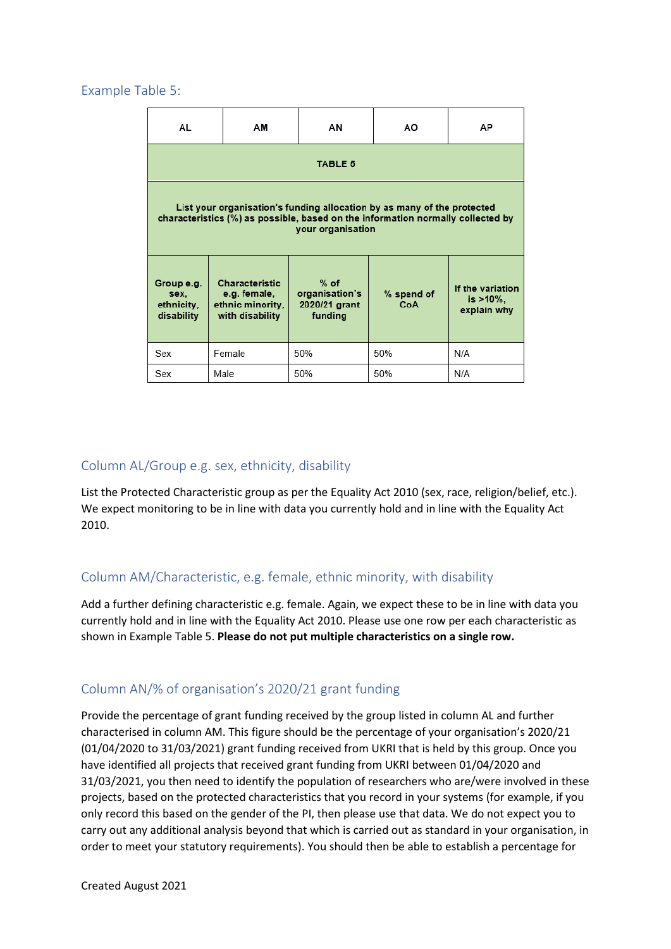#### <span id="page-18-0"></span>Example Table 5:

| AL                                                                                                                                                                              | ΑМ     | ΑN                                                   | ΑO                | AP                                              |  |  |  |
|---------------------------------------------------------------------------------------------------------------------------------------------------------------------------------|--------|------------------------------------------------------|-------------------|-------------------------------------------------|--|--|--|
| <b>TABLE 5</b>                                                                                                                                                                  |        |                                                      |                   |                                                 |  |  |  |
| List your organisation's funding allocation by as many of the protected<br>characteristics (%) as possible, based on the information normally collected by<br>your organisation |        |                                                      |                   |                                                 |  |  |  |
| Characteristic<br>Group e.g.<br>e.g. female,<br>sex.<br>ethnic minority,<br>ethnicity,<br>with disability<br>disability                                                         |        | $%$ of<br>organisation's<br>2020/21 grant<br>funding | % spend of<br>CoA | If the variation<br>is $>10\%$ ,<br>explain why |  |  |  |
| Sex                                                                                                                                                                             | Female | 50%                                                  | 50%               | N/A                                             |  |  |  |
| Sex                                                                                                                                                                             | Male   | 50%                                                  | 50%               | N/A                                             |  |  |  |

### <span id="page-18-1"></span>Column AL/Group e.g. sex, ethnicity, disability

List the Protected Characteristic group as per the Equality Act 2010 (sex, race, religion/belief, etc.). We expect monitoring to be in line with data you currently hold and in line with the Equality Act 2010.

### <span id="page-18-2"></span>Column AM/Characteristic, e.g. female, ethnic minority, with disability

Add a further defining characteristic e.g. female. Again, we expect these to be in line with data you currently hold and in line with the Equality Act 2010. Please use one row per each characteristic as shown in Example Table 5. **Please do not put multiple characteristics on a single row.** 

### <span id="page-18-3"></span>Column AN/% of organisation's 2020/21 grant funding

Provide the percentage of grant funding received by the group listed in column AL and further characterised in column AM. This figure should be the percentage of your organisation's 2020/21 (01/04/2020 to 31/03/2021) grant funding received from UKRI that is held by this group. Once you have identified all projects that received grant funding from UKRI between 01/04/2020 and 31/03/2021, you then need to identify the population of researchers who are/were involved in these projects, based on the protected characteristics that you record in your systems (for example, if you only record this based on the gender of the PI, then please use that data. We do not expect you to carry out any additional analysis beyond that which is carried out as standard in your organisation, in order to meet your statutory requirements). You should then be able to establish a percentage for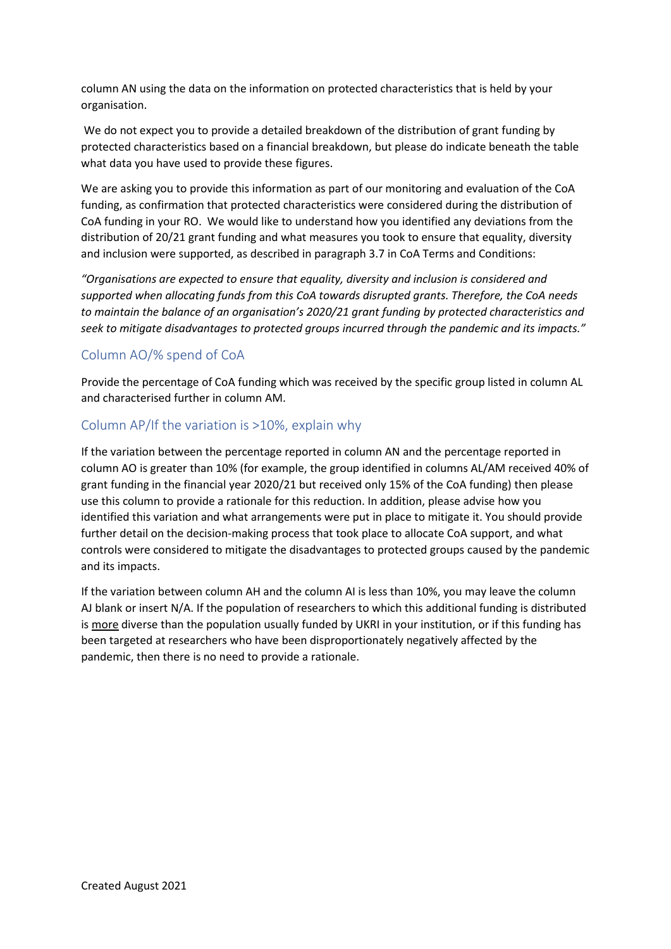column AN using the data on the information on protected characteristics that is held by your organisation.

We do not expect you to provide a detailed breakdown of the distribution of grant funding by protected characteristics based on a financial breakdown, but please do indicate beneath the table what data you have used to provide these figures.

We are asking you to provide this information as part of our monitoring and evaluation of the CoA funding, as confirmation that protected characteristics were considered during the distribution of CoA funding in your RO. We would like to understand how you identified any deviations from the distribution of 20/21 grant funding and what measures you took to ensure that equality, diversity and inclusion were supported, as described in paragraph 3.7 in CoA Terms and Conditions:

*"Organisations are expected to ensure that equality, diversity and inclusion is considered and supported when allocating funds from this CoA towards disrupted grants. Therefore, the CoA needs to maintain the balance of an organisation's 2020/21 grant funding by protected characteristics and seek to mitigate disadvantages to protected groups incurred through the pandemic and its impacts."*

### <span id="page-19-0"></span>Column AO/% spend of CoA

Provide the percentage of CoA funding which was received by the specific group listed in column AL and characterised further in column AM.

### <span id="page-19-1"></span>Column AP/If the variation is >10%, explain why

If the variation between the percentage reported in column AN and the percentage reported in column AO is greater than 10% (for example, the group identified in columns AL/AM received 40% of grant funding in the financial year 2020/21 but received only 15% of the CoA funding) then please use this column to provide a rationale for this reduction. In addition, please advise how you identified this variation and what arrangements were put in place to mitigate it. You should provide further detail on the decision-making process that took place to allocate CoA support, and what controls were considered to mitigate the disadvantages to protected groups caused by the pandemic and its impacts.

If the variation between column AH and the column AI is less than 10%, you may leave the column AJ blank or insert N/A. If the population of researchers to which this additional funding is distributed is more diverse than the population usually funded by UKRI in your institution, or if this funding has been targeted at researchers who have been disproportionately negatively affected by the pandemic, then there is no need to provide a rationale.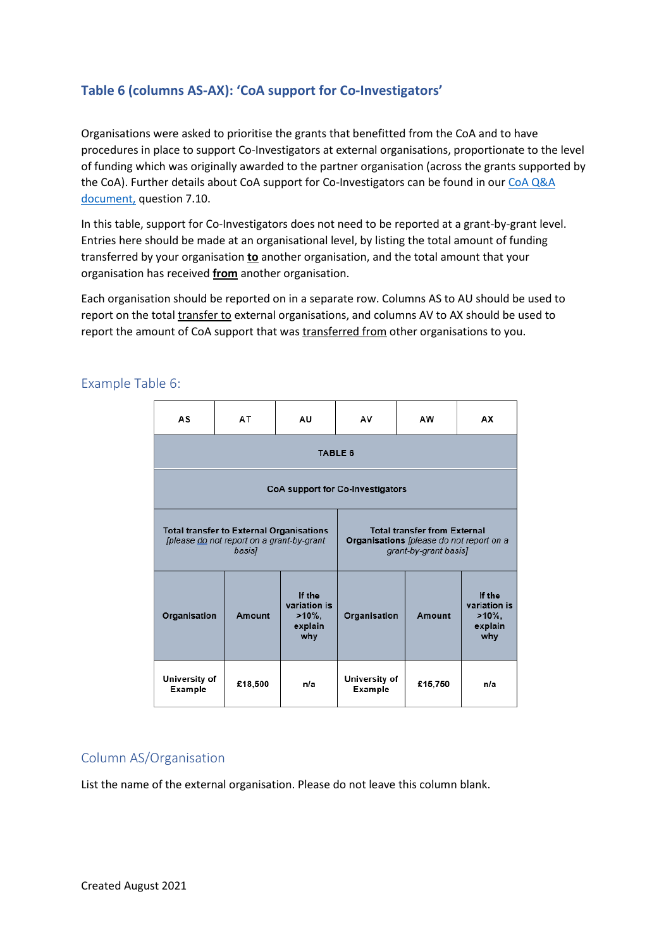### <span id="page-20-0"></span>**Table 6 (columns AS-AX): 'CoA support for Co-Investigators'**

Organisations were asked to prioritise the grants that benefitted from the CoA and to have procedures in place to support Co-Investigators at external organisations, proportionate to the level of funding which was originally awarded to the partner organisation (across the grants supported by the CoA). Further details about CoA support for Co-Investigators can be found in our CoA Q&A [document,](https://www.ukri.org/wp-content/uploads/2021/04/UKRI-150421-COVID19GrantExtensionAllocation-QA.pdf) question 7.10.

In this table, support for Co-Investigators does not need to be reported at a grant-by-grant level. Entries here should be made at an organisational level, by listing the total amount of funding transferred by your organisation **to** another organisation, and the total amount that your organisation has received **from** another organisation.

Each organisation should be reported on in a separate row. Columns AS to AU should be used to report on the total transfer to external organisations, and columns AV to AX should be used to report the amount of CoA support that was transferred from other organisations to you.

| AS                                                                                                     | AT      | AU                                                    | AV                                                                                                       | AW      | АX                                                    |  |  |
|--------------------------------------------------------------------------------------------------------|---------|-------------------------------------------------------|----------------------------------------------------------------------------------------------------------|---------|-------------------------------------------------------|--|--|
| <b>TABLE 6</b>                                                                                         |         |                                                       |                                                                                                          |         |                                                       |  |  |
| CoA support for Co-Investigators                                                                       |         |                                                       |                                                                                                          |         |                                                       |  |  |
| <b>Total transfer to External Organisations</b><br>[please do not report on a grant-by-grant<br>basis] |         |                                                       | <b>Total transfer from External</b><br>Organisations [please do not report on a<br>grant-by-grant basis] |         |                                                       |  |  |
| Organisation                                                                                           | Amount  | If the<br>variation is<br>$>10\%$ .<br>explain<br>why | Organisation                                                                                             | Amount  | If the<br>variation is<br>$>10\%$ .<br>explain<br>why |  |  |
| University of<br>Example                                                                               | £18,500 | n/a                                                   | University of<br>Example                                                                                 | £15,750 | n/a                                                   |  |  |

#### <span id="page-20-1"></span>Example Table 6:

### <span id="page-20-2"></span>Column AS/Organisation

List the name of the external organisation. Please do not leave this column blank.